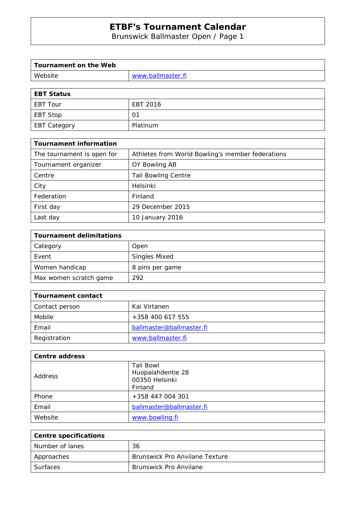Brunswick Ballmaster Open / Page 1

| Tournament on the Web |                   |
|-----------------------|-------------------|
| Website               | www.ballmaster.fi |
|                       |                   |

| <b>EBT Status</b> |          |
|-------------------|----------|
| EBT Tour          | EBT 2016 |
| EBT Stop          | 01       |
| EBT Category      | Platinum |

| <b>Tournament information</b> |                                                  |
|-------------------------------|--------------------------------------------------|
| The tournament is open for    | Athletes from World Bowling's member federations |
| Tournament organizer          | OY Bowling AB                                    |
| Centre                        | <b>Tali Bowling Centre</b>                       |
| City                          | Helsinki                                         |
| Federation                    | Finland                                          |
| First day                     | 29 December 2015                                 |
| Last day                      | 10 January 2016                                  |

| <b>Tournament delimitations</b> |                      |
|---------------------------------|----------------------|
| Category                        | Open                 |
| Event                           | <b>Singles Mixed</b> |
| Women handicap                  | 8 pins per game      |
| Max women scratch game          | 292                  |

| Tournament contact |                          |
|--------------------|--------------------------|
| Contact person     | Kai Virtanen             |
| Mobile             | +358 400 617 555         |
| Email              | ballmaster@ballmaster.fi |
| Registration       | www.ballmaster.fi        |

| <b>Centre address</b> |                                                  |
|-----------------------|--------------------------------------------------|
| Address               | Tali Bowl<br>Huopalahdentie 28<br>00350 Helsinki |
| Phone                 | Finland<br>+358 447 004 301                      |
| Email                 | ballmaster@ballmaster.fi                         |
| Website               | www.bowling.fi                                   |

| <b>Centre specifications</b> |                                       |
|------------------------------|---------------------------------------|
| Number of lanes              | 36                                    |
| Approaches                   | <b>Brunswick Pro Anvilane Texture</b> |
| Surfaces                     | <b>Brunswick Pro Anvilane</b>         |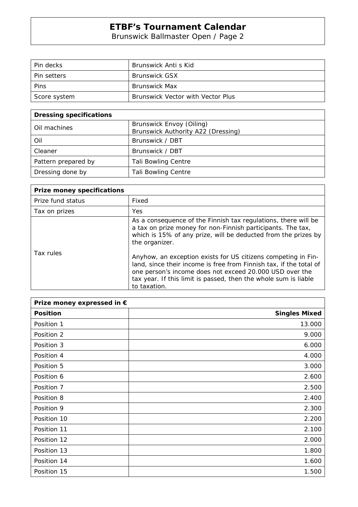Brunswick Ballmaster Open / Page 2

| Pin decks          | Brunswick Anti s Kid              |
|--------------------|-----------------------------------|
| <b>Pin setters</b> | <b>Brunswick GSX</b>              |
| Pins               | Brunswick Max                     |
| Score system       | Brunswick Vector with Vector Plus |

| <b>Dressing specifications</b> |                                                                |
|--------------------------------|----------------------------------------------------------------|
| Oil machines                   | Brunswick Envoy (Oiling)<br>Brunswick Authority A22 (Dressing) |
| Oil                            | Brunswick / DBT                                                |
| Cleaner                        | Brunswick / DBT                                                |
| Pattern prepared by            | <b>Tali Bowling Centre</b>                                     |
| Dressing done by               | <b>Tali Bowling Centre</b>                                     |

| <b>Prize money specifications</b> |                                                                                                                                                                                                                                                                                   |
|-----------------------------------|-----------------------------------------------------------------------------------------------------------------------------------------------------------------------------------------------------------------------------------------------------------------------------------|
| Prize fund status                 | Fixed                                                                                                                                                                                                                                                                             |
| Tax on prizes                     | <b>Yes</b>                                                                                                                                                                                                                                                                        |
|                                   | As a consequence of the Finnish tax regulations, there will be<br>a tax on prize money for non-Finnish participants. The tax,<br>which is 15% of any prize, will be deducted from the prizes by<br>the organizer.                                                                 |
| Tax rules                         | Anyhow, an exception exists for US citizens competing in Fin-<br>land, since their income is free from Finnish tax, if the total of<br>one person's income does not exceed 20.000 USD over the<br>tax year. If this limit is passed, then the whole sum is liable<br>to taxation. |

| Prize money expressed in € |                      |
|----------------------------|----------------------|
| <b>Position</b>            | <b>Singles Mixed</b> |
| Position 1                 | 13.000               |
| Position 2                 | 9.000                |
| Position 3                 | 6.000                |
| Position 4                 | 4.000                |
| Position 5                 | 3.000                |
| Position 6                 | 2.600                |
| Position 7                 | 2.500                |
| Position 8                 | 2.400                |
| Position 9                 | 2.300                |
| Position 10                | 2.200                |
| Position 11                | 2.100                |
| Position 12                | 2.000                |
| Position 13                | 1.800                |
| Position 14                | 1.600                |
| Position 15                | 1.500                |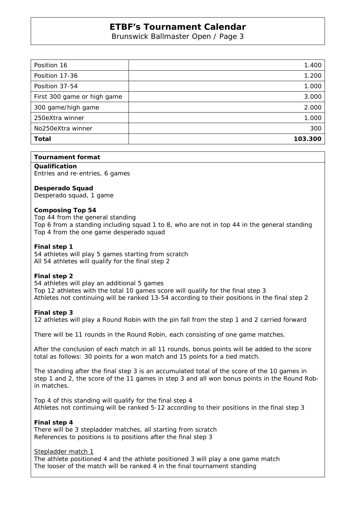Brunswick Ballmaster Open / Page 3

| Position 16                 | 1.400   |
|-----------------------------|---------|
| Position 17-36              | 1.200   |
| Position 37-54              | 1.000   |
| First 300 game or high game | 3.000   |
| 300 game/high game          | 2.000   |
| 250eXtra winner             | 1.000   |
| No250eXtra winner           | 300     |
| <b>Total</b>                | 103.300 |

### **Tournament format**

**Qualification**  Entries and re-entries, 6 games

### **Desperado Squad**

Desperado squad, 1 game

### **Composing Top 54**

Top 44 from the general standing Top 6 from a standing including squad 1 to 8, who are not in top 44 in the general standing Top 4 from the one game desperado squad

### **Final step 1**

54 athletes will play 5 games starting from scratch All 54 athletes will qualify for the final step 2

### **Final step 2**

54 athletes will play an additional 5 games Top 12 athletes with the total 10 games score will qualify for the final step 3 Athletes not continuing will be ranked 13-54 according to their positions in the final step 2

### **Final step 3**

12 athletes will play a Round Robin with the pin fall from the step 1 and 2 carried forward

There will be 11 rounds in the Round Robin, each consisting of one game matches.

After the conclusion of each match in all 11 rounds, bonus points will be added to the score total as follows: 30 points for a won match and 15 points for a tied match.

The standing after the final step 3 is an accumulated total of the score of the 10 games in step 1 and 2, the score of the 11 games in step 3 and all won bonus points in the Round Robin matches.

Top 4 of this standing will qualify for the final step 4 Athletes not continuing will be ranked 5-12 according to their positions in the final step 3

### **Final step 4**

There will be 3 stepladder matches, all starting from scratch References to positions is to positions after the final step 3

#### Stepladder match 1

The athlete positioned 4 and the athlete positioned 3 will play a one game match The looser of the match will be ranked 4 in the final tournament standing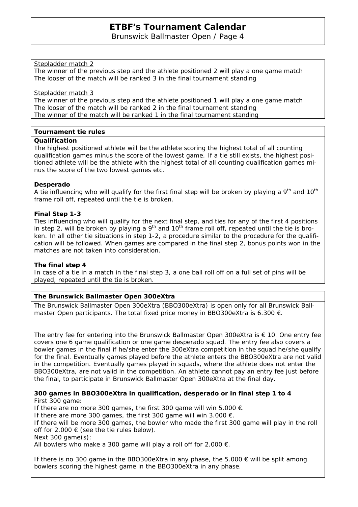Brunswick Ballmaster Open / Page 4

### Stepladder match 2

The winner of the previous step and the athlete positioned 2 will play a one game match The looser of the match will be ranked 3 in the final tournament standing

### Stepladder match 3

The winner of the previous step and the athlete positioned 1 will play a one game match The looser of the match will be ranked 2 in the final tournament standing The winner of the match will be ranked 1 in the final tournament standing

### **Tournament tie rules**

### **Qualification**

The highest positioned athlete will be the athlete scoring the highest total of all counting qualification games minus the score of the lowest game. If a tie still exists, the highest positioned athlete will be the athlete with the highest total of all counting qualification games minus the score of the two lowest games etc.

### **Desperado**

A tie influencing who will qualify for the first final step will be broken by playing a  $9<sup>th</sup>$  and  $10<sup>th</sup>$ frame roll off, repeated until the tie is broken.

### **Final Step 1-3**

Ties influencing who will qualify for the next final step, and ties for any of the first 4 positions in step 2, will be broken by playing a  $9<sup>th</sup>$  and  $10<sup>th</sup>$  frame roll off, repeated until the tie is broken. In all other tie situations in step 1-2, a procedure similar to the procedure for the qualification will be followed. When games are compared in the final step 2, bonus points won in the matches are not taken into consideration.

### **The final step 4**

In case of a tie in a match in the final step 3, a one ball roll off on a full set of pins will be played, repeated until the tie is broken.

# **The Brunswick Ballmaster Open 300eXtra**

The Brunswick Ballmaster Open 300eXtra (BBO300eXtra) is open only for all Brunswick Ballmaster Open participants. The total fixed price money in BBO300eXtra is 6.300 €.

The entry fee for entering into the Brunswick Ballmaster Open 300eXtra is  $\epsilon$  10. One entry fee covers one 6 game qualification or one game desperado squad. The entry fee also covers a bowler games in the final if he/she enter the 300eXtra competition in the squad he/she qualify for the final. Eventually games played before the athlete enters the BBO300eXtra are not valid in the competition. Eventually games played in squads, where the athlete does not enter the BBO300eXtra, are not valid in the competition. An athlete cannot pay an entry fee just before the final, to participate in Brunswick Ballmaster Open 300eXtra at the final day.

### **300 games in BBO300eXtra in qualification, desperado or in final step 1 to 4**  First 300 game:

If there are no more 300 games, the first 300 game will win 5.000  $\epsilon$ . If there are more 300 games, the first 300 game will win 3.000  $\epsilon$ . If there will be more 300 games, the bowler who made the first 300 game will play in the roll off for  $2.000 \in$  (see the tie rules below). Next 300 game(s): All bowlers who make a 300 game will play a roll off for 2.000  $\epsilon$ .

If there is no 300 game in the BBO300eXtra in any phase, the 5.000  $\epsilon$  will be split among bowlers scoring the highest game in the BBO300eXtra in any phase.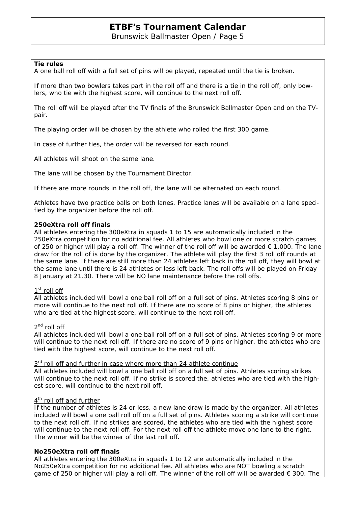Brunswick Ballmaster Open / Page 5

### **Tie rules**

A one ball roll off with a full set of pins will be played, repeated until the tie is broken.

If more than two bowlers takes part in the roll off and there is a tie in the roll off, only bowlers, who tie with the highest score, will continue to the next roll off.

The roll off will be played after the TV finals of the Brunswick Ballmaster Open and on the TVpair.

The playing order will be chosen by the athlete who rolled the first 300 game.

In case of further ties, the order will be reversed for each round.

All athletes will shoot on the same lane.

The lane will be chosen by the Tournament Director.

If there are more rounds in the roll off, the lane will be alternated on each round.

Athletes have two practice balls on both lanes. Practice lanes will be available on a lane specified by the organizer before the roll off.

### **250eXtra roll off finals**

All athletes entering the 300eXtra in squads 1 to 15 are automatically included in the 250eXtra competition for no additional fee. All athletes who bowl one or more scratch games of 250 or higher will play a roll off. The winner of the roll off will be awarded  $\epsilon$  1.000. The lane draw for the roll of is done by the organizer. The athlete will play the first 3 roll off rounds at the same lane. If there are still more than 24 athletes left back in the roll off, they will bowl at the same lane until there is 24 athletes or less left back. The roll offs will be played on Friday 8 January at 21.30. There will be NO lane maintenance before the roll offs.

### $1<sup>st</sup>$  roll off

All athletes included will bowl a one ball roll off on a full set of pins. Athletes scoring 8 pins or more will continue to the next roll off. If there are no score of 8 pins or higher, the athletes who are tied at the highest score, will continue to the next roll off.

### 2<sup>nd</sup> roll off

All athletes included will bowl a one ball roll off on a full set of pins. Athletes scoring 9 or more will continue to the next roll off. If there are no score of 9 pins or higher, the athletes who are tied with the highest score, will continue to the next roll off.

#### $3<sup>rd</sup>$  roll off and further in case where more than 24 athlete continue

All athletes included will bowl a one ball roll off on a full set of pins. Athletes scoring strikes will continue to the next roll off. If no strike is scored the, athletes who are tied with the highest score, will continue to the next roll off.

### 4<sup>th</sup> roll off and further

If the number of athletes is 24 or less, a new lane draw is made by the organizer. All athletes included will bowl a one ball roll off on a full set of pins. Athletes scoring a strike will continue to the next roll off. If no strikes are scored, the athletes who are tied with the highest score will continue to the next roll off. For the next roll off the athlete move one lane to the right. The winner will be the winner of the last roll off.

### **No250eXtra roll off finals**

All athletes entering the 300eXtra in squads 1 to 12 are automatically included in the No250eXtra competition for no additional fee. All athletes who are NOT bowling a scratch game of 250 or higher will play a roll off. The winner of the roll off will be awarded € 300. The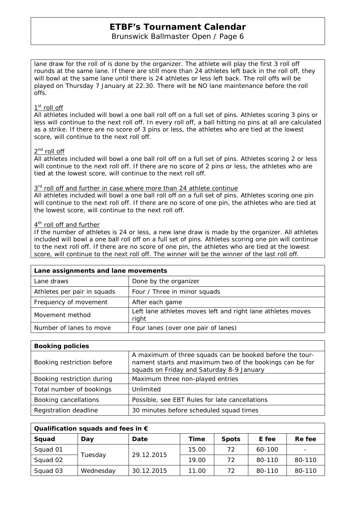# Brunswick Ballmaster Open / Page 6

lane draw for the roll of is done by the organizer. The athlete will play the first 3 roll off rounds at the same lane. If there are still more than 24 athletes left back in the roll off, they will bowl at the same lane until there is 24 athletes or less left back. The roll offs will be played on Thursday 7 January at 22.30. There will be NO lane maintenance before the roll offs.

# 1<sup>st</sup> roll off

All athletes included will bowl a one ball roll off on a full set of pins. Athletes scoring 3 pins or less will continue to the next roll off. In every roll off, a ball hitting no pins at all are calculated as a strike. If there are no score of 3 pins or less, the athletes who are tied at the lowest score, will continue to the next roll off.

## 2<sup>nd</sup> roll off

All athletes included will bowl a one ball roll off on a full set of pins. Athletes scoring 2 or less will continue to the next roll off. If there are no score of 2 pins or less, the athletes who are tied at the lowest score, will continue to the next roll off.

### 3<sup>rd</sup> roll off and further in case where more than 24 athlete continue

All athletes included will bowl a one ball roll off on a full set of pins. Athletes scoring one pin will continue to the next roll off. If there are no score of one pin, the athletes who are tied at the lowest score, will continue to the next roll off.

### 4<sup>th</sup> roll off and further

If the number of athletes is 24 or less, a new lane draw is made by the organizer. All athletes included will bowl a one ball roll off on a full set of pins. Athletes scoring one pin will continue to the next roll off. If there are no score of one pin, the athletes who are tied at the lowest score, will continue to the next roll off. The winner will be the winner of the last roll off.

| Lane assignments and lane movements |                                                                      |  |  |  |  |
|-------------------------------------|----------------------------------------------------------------------|--|--|--|--|
| Lane draws                          | Done by the organizer                                                |  |  |  |  |
| Athletes per pair in squads         | Four / Three in minor squads                                         |  |  |  |  |
| Frequency of movement               | After each game                                                      |  |  |  |  |
| Movement method                     | Left lane athletes moves left and right lane athletes moves<br>right |  |  |  |  |
| Number of lanes to move             | Four lanes (over one pair of lanes)                                  |  |  |  |  |

| <b>Booking policies</b>    |                                                                                                                                                                   |  |  |  |  |  |
|----------------------------|-------------------------------------------------------------------------------------------------------------------------------------------------------------------|--|--|--|--|--|
| Booking restriction before | A maximum of three squads can be booked before the tour-<br>nament starts and maximum two of the bookings can be for<br>squads on Friday and Saturday 8-9 January |  |  |  |  |  |
| Booking restriction during | Maximum three non-played entries                                                                                                                                  |  |  |  |  |  |
| Total number of bookings   | Unlimited                                                                                                                                                         |  |  |  |  |  |
| Booking cancellations      | Possible, see EBT Rules for late cancellations                                                                                                                    |  |  |  |  |  |
| Registration deadline      | 30 minutes before scheduled squad times                                                                                                                           |  |  |  |  |  |

| Qualification squads and fees in $\epsilon$ |           |            |       |              |        |        |  |  |
|---------------------------------------------|-----------|------------|-------|--------------|--------|--------|--|--|
| Squad                                       | Day       | Date       | Time  | <b>Spots</b> | E fee  | Re fee |  |  |
| Squad 01                                    | Tuesday   | 29.12.2015 | 15.00 | 72           | 60-100 |        |  |  |
| Squad 02                                    |           |            | 19.00 | 72           | 80-110 | 80-110 |  |  |
| Squad 03                                    | Wednesday | 30.12.2015 | 11.00 | 72           | 80-110 | 80-110 |  |  |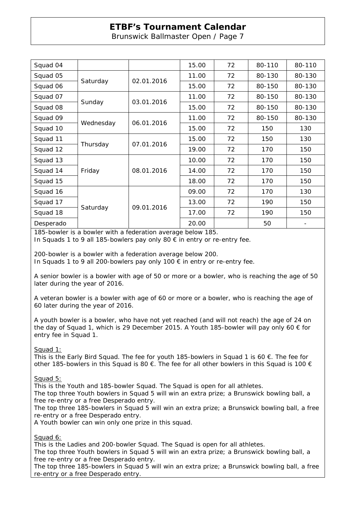Brunswick Ballmaster Open / Page 7

| Squad 04  |           |            | 15.00 | 72 | 80-110 | 80-110 |
|-----------|-----------|------------|-------|----|--------|--------|
| Squad 05  | Saturday  | 02.01.2016 | 11.00 | 72 | 80-130 | 80-130 |
| Squad 06  |           |            | 15.00 | 72 | 80-150 | 80-130 |
| Squad 07  | Sunday    | 03.01.2016 | 11.00 | 72 | 80-150 | 80-130 |
| Squad 08  |           |            | 15.00 | 72 | 80-150 | 80-130 |
| Squad 09  | Wednesday | 06.01.2016 | 11.00 | 72 | 80-150 | 80-130 |
| Squad 10  |           |            | 15.00 | 72 | 150    | 130    |
| Squad 11  | Thursday  | 07.01.2016 | 15.00 | 72 | 150    | 130    |
| Squad 12  |           |            | 19.00 | 72 | 170    | 150    |
| Squad 13  | Friday    | 08.01.2016 | 10.00 | 72 | 170    | 150    |
| Squad 14  |           |            | 14.00 | 72 | 170    | 150    |
| Squad 15  |           |            | 18.00 | 72 | 170    | 150    |
| Squad 16  | Saturday  | 09.01.2016 | 09.00 | 72 | 170    | 130    |
| Squad 17  |           |            | 13.00 | 72 | 190    | 150    |
| Squad 18  |           |            | 17.00 | 72 | 190    | 150    |
| Desperado |           |            | 20.00 |    | 50     |        |

185-bowler is a bowler with a federation average below 185.

In Squads 1 to 9 all 185-bowlers pay only 80 € in entry or re-entry fee.

200-bowler is a bowler with a federation average below 200.

In Squads 1 to 9 all 200-bowlers pay only 100  $\epsilon$  in entry or re-entry fee.

A senior bowler is a bowler with age of 50 or more or a bowler, who is reaching the age of 50 later during the year of 2016.

A veteran bowler is a bowler with age of 60 or more or a bowler, who is reaching the age of 60 later during the year of 2016.

A youth bowler is a bowler, who have not yet reached (and will not reach) the age of 24 on the day of Squad 1, which is 29 December 2015. A Youth 185-bowler will pay only 60  $\epsilon$  for entry fee in Squad 1.

Squad 1:

This is the Early Bird Squad. The fee for youth 185-bowlers in Squad 1 is 60  $\epsilon$ . The fee for other 185-bowlers in this Squad is 80 €. The fee for all other bowlers in this Squad is 100  $\epsilon$ 

Squad 5:

This is the Youth and 185-bowler Squad. The Squad is open for all athletes.

The top three Youth bowlers in Squad 5 will win an extra prize; a Brunswick bowling ball, a free re-entry or a free Desperado entry.

The top three 185-bowlers in Squad 5 will win an extra prize; a Brunswick bowling ball, a free re-entry or a free Desperado entry.

A Youth bowler can win only one prize in this squad.

Squad 6:

This is the Ladies and 200-bowler Squad. The Squad is open for all athletes.

The top three Youth bowlers in Squad 5 will win an extra prize; a Brunswick bowling ball, a free re-entry or a free Desperado entry.

The top three 185-bowlers in Squad 5 will win an extra prize; a Brunswick bowling ball, a free re-entry or a free Desperado entry.